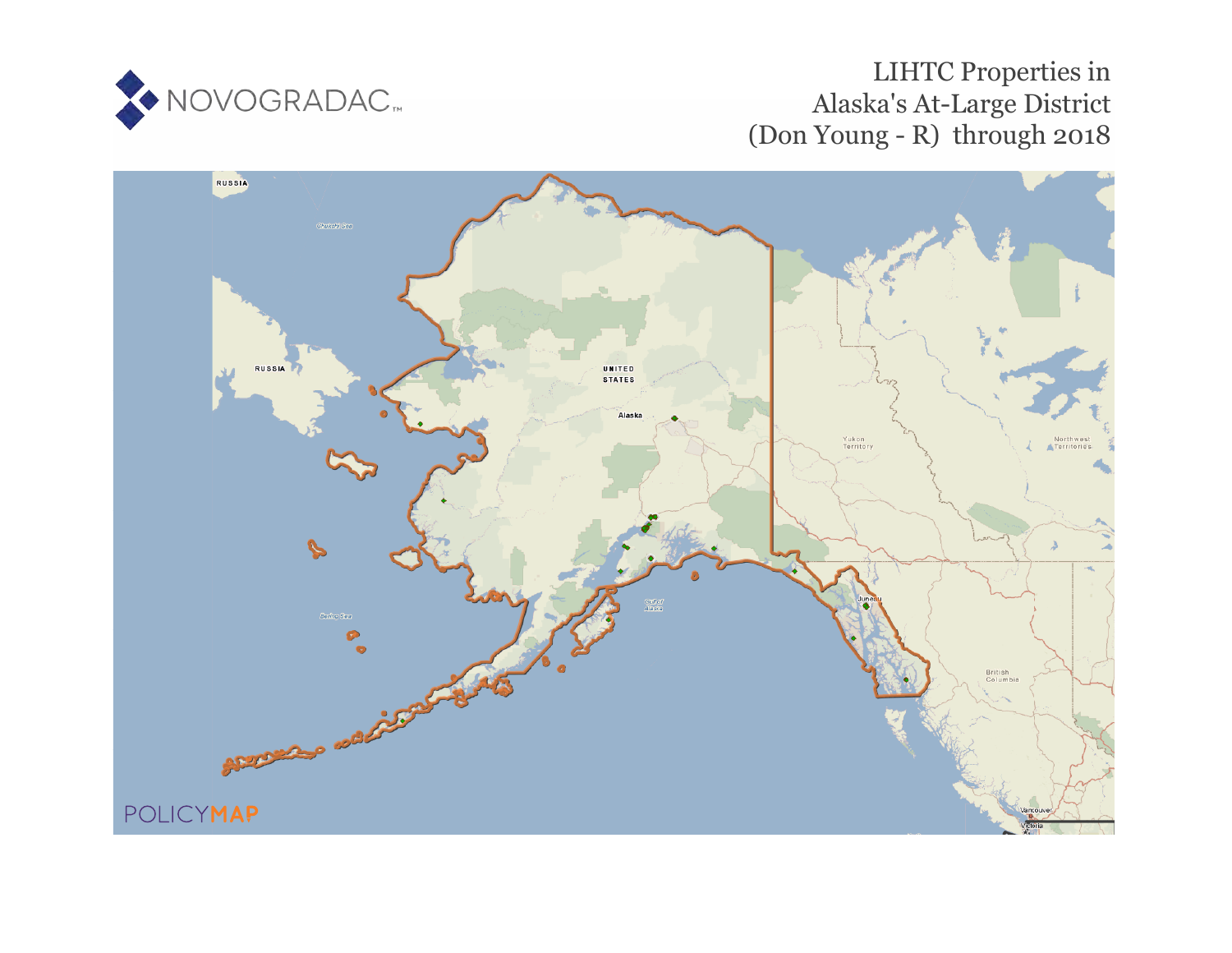

# LIHTC Properties in Alaska's At-Large District (Don Young - R) through 2018

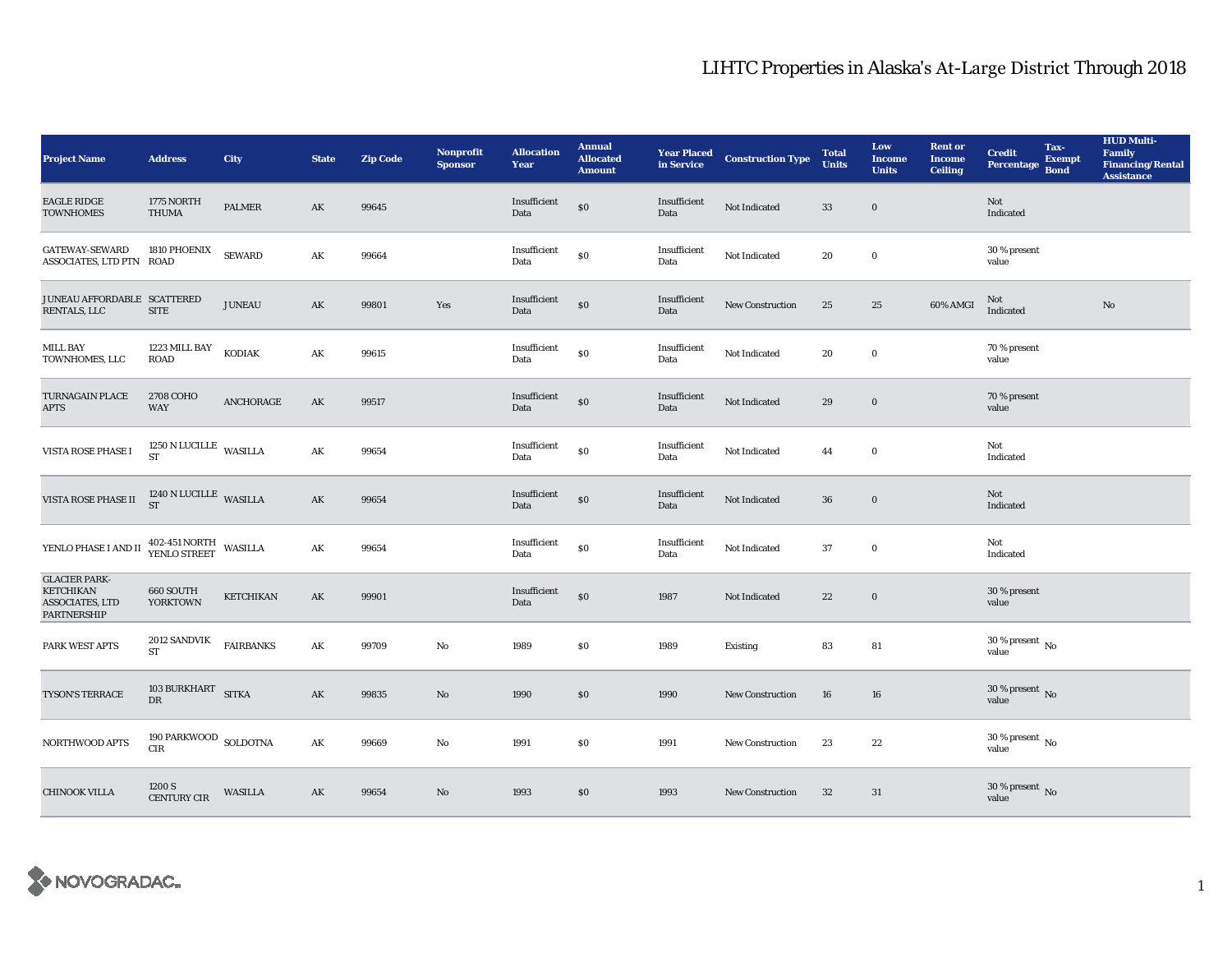| <b>Project Name</b>                                                                      | <b>Address</b>                      | City             | <b>State</b>  | <b>Zip Code</b> | Nonprofit<br><b>Sponsor</b> | <b>Allocation</b><br>Year | <b>Annual</b><br><b>Allocated</b><br><b>Amount</b> | <b>Year Placed<br/>in Service</b> | <b>Construction Type</b> | <b>Total</b><br><b>Units</b> | Low<br><b>Income</b><br><b>Units</b> | <b>Rent or</b><br><b>Income</b><br><b>Ceiling</b> | <b>Credit</b><br><b>Percentage</b>     | Tax-<br><b>Exempt</b><br><b>Bond</b> | <b>HUD Multi-</b><br>Family<br><b>Financing/Rental</b><br><b>Assistance</b> |
|------------------------------------------------------------------------------------------|-------------------------------------|------------------|---------------|-----------------|-----------------------------|---------------------------|----------------------------------------------------|-----------------------------------|--------------------------|------------------------------|--------------------------------------|---------------------------------------------------|----------------------------------------|--------------------------------------|-----------------------------------------------------------------------------|
| <b>EAGLE RIDGE</b><br><b>TOWNHOMES</b>                                                   | 1775 NORTH<br><b>THUMA</b>          | PALMER           | AK            | 99645           |                             | Insufficient<br>Data      | $\$0$                                              | Insufficient<br>Data              | Not Indicated            | $33\,$                       | $\mathbf 0$                          |                                                   | Not<br>Indicated                       |                                      |                                                                             |
| <b>GATEWAY-SEWARD</b><br>ASSOCIATES, LTD PTN ROAD                                        | 1810 PHOENIX                        | <b>SEWARD</b>    | AK            | 99664           |                             | Insufficient<br>Data      | $\$0$                                              | Insufficient<br>Data              | Not Indicated            | 20                           | $\mathbf 0$                          |                                                   | 30 % present<br>value                  |                                      |                                                                             |
| JUNEAU AFFORDABLE SCATTERED<br><b>RENTALS, LLC</b>                                       | <b>SITE</b>                         | <b>JUNEAU</b>    | AK            | 99801           | Yes                         | Insufficient<br>Data      | $\$0$                                              | Insufficient<br>Data              | New Construction         | 25                           | 25                                   | 60% AMGI                                          | Not<br>Indicated                       |                                      | $\rm No$                                                                    |
| <b>MILL BAY</b><br>TOWNHOMES, LLC                                                        | 1223 MILL BAY<br><b>ROAD</b>        | KODIAK           | AK            | 99615           |                             | Insufficient<br>Data      | ${\bf S0}$                                         | Insufficient<br>Data              | Not Indicated            | 20                           | $\mathbf 0$                          |                                                   | 70 % present<br>value                  |                                      |                                                                             |
| <b>TURNAGAIN PLACE</b><br><b>APTS</b>                                                    | 2708 COHO<br><b>WAY</b>             | ANCHORAGE        | AK            | 99517           |                             | Insufficient<br>Data      | \$0                                                | Insufficient<br>Data              | Not Indicated            | 29                           | $\bf{0}$                             |                                                   | 70 % present<br>value                  |                                      |                                                                             |
| VISTA ROSE PHASE I                                                                       | 1250 N LUCILLE WASILLA<br><b>ST</b> |                  | AK            | 99654           |                             | Insufficient<br>Data      | $\$0$                                              | Insufficient<br>Data              | Not Indicated            | 44                           | $\mathbf 0$                          |                                                   | Not<br>Indicated                       |                                      |                                                                             |
| VISTA ROSE PHASE II                                                                      | $1240$ N LUCILLE WASILLA ST         |                  | $\mathbf{AK}$ | 99654           |                             | Insufficient<br>Data      | $\$0$                                              | Insufficient<br>Data              | Not Indicated            | ${\bf 36}$                   | $\mathbf 0$                          |                                                   | Not<br>Indicated                       |                                      |                                                                             |
| YENLO PHASE I AND II 402-451 NORTH WASILLA                                               |                                     |                  | AK            | 99654           |                             | Insufficient<br>Data      | $\$0$                                              | Insufficient<br>Data              | Not Indicated            | 37                           | $\bf{0}$                             |                                                   | Not<br>Indicated                       |                                      |                                                                             |
| <b>GLACIER PARK-</b><br><b>KETCHIKAN</b><br><b>ASSOCIATES, LTD</b><br><b>PARTNERSHIP</b> | 660 SOUTH<br>YORKTOWN               | <b>KETCHIKAN</b> | AK            | 99901           |                             | Insufficient<br>Data      | \$0                                                | 1987                              | Not Indicated            | 22                           | $\bf{0}$                             |                                                   | 30 % present<br>value                  |                                      |                                                                             |
| PARK WEST APTS                                                                           | <b>2012 SANDVIK</b><br><b>ST</b>    | <b>FAIRBANKS</b> | AK            | 99709           | No                          | 1989                      | \$0                                                | 1989                              | Existing                 | 83                           | 81                                   |                                                   | $30\,\%$ present $\,$ No value         |                                      |                                                                             |
| TYSON'S TERRACE                                                                          | 103 BURKHART SITKA<br>DR            |                  | $\mathbf{AK}$ | 99835           | $\mathbf{N}\mathbf{o}$      | 1990                      | \$0                                                | 1990                              | <b>New Construction</b>  | ${\bf 16}$                   | 16                                   |                                                   | $30\,\%$ present $\,$ No value         |                                      |                                                                             |
| NORTHWOOD APTS                                                                           | 190 PARKWOOD SOLDOTNA<br>CIR        |                  | AK            | 99669           | No                          | 1991                      | \$0\$                                              | 1991                              | <b>New Construction</b>  | 23                           | 22                                   |                                                   | $30\,\%$ present $\,$ No $\,$<br>value |                                      |                                                                             |
| <b>CHINOOK VILLA</b>                                                                     | 1200 S<br><b>CENTURY CIR</b>        | WASILLA          | AK            | 99654           | No                          | 1993                      | \$0                                                | 1993                              | <b>New Construction</b>  | 32                           | 31                                   |                                                   | $30\,\%$ present $\,$ No value         |                                      |                                                                             |

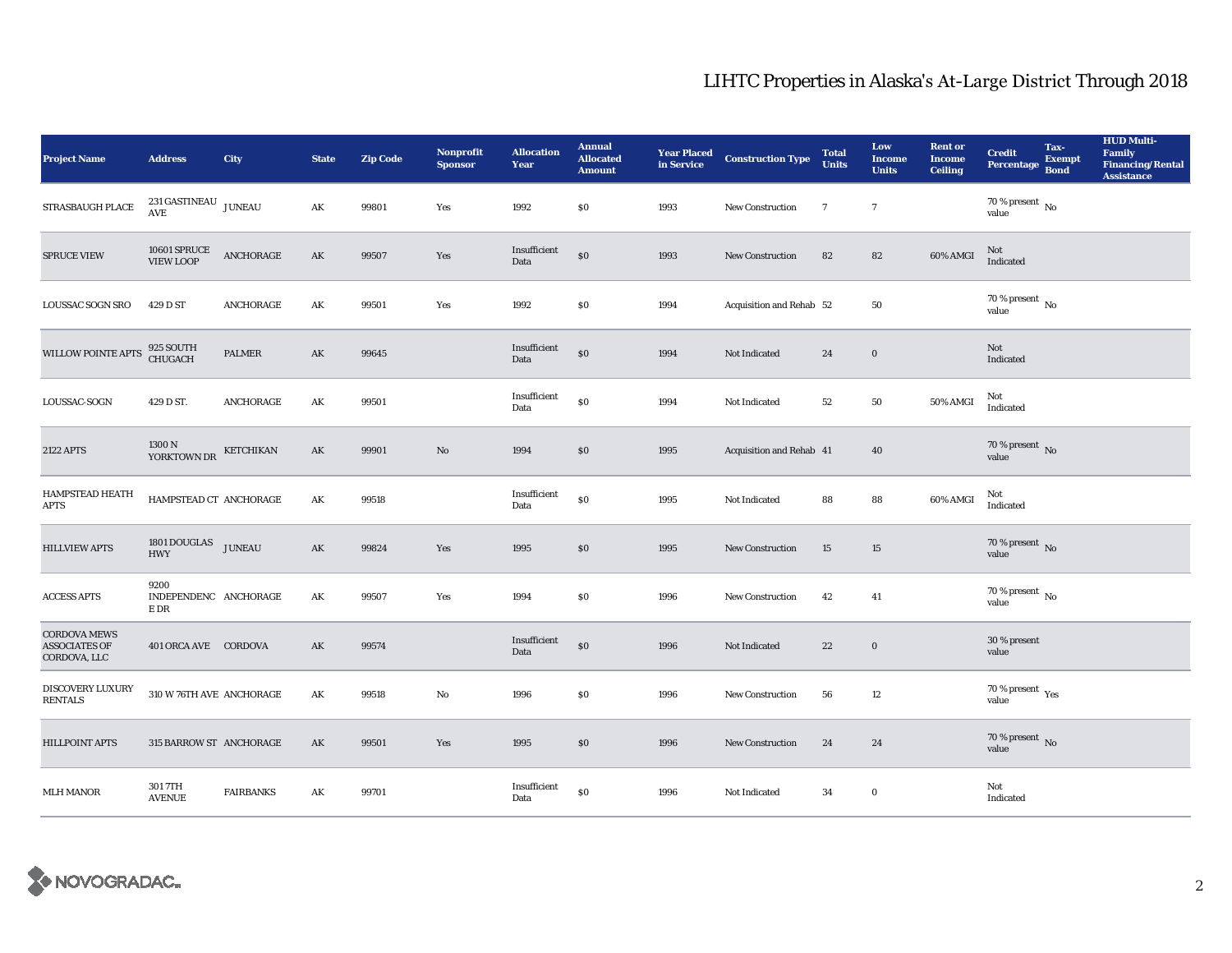| <b>Project Name</b>                                         | <b>Address</b>                              | <b>City</b>                | <b>State</b>           | <b>Zip Code</b> | <b>Nonprofit</b><br><b>Sponsor</b> | <b>Allocation</b><br>Year | <b>Annual</b><br><b>Allocated</b><br><b>Amount</b> |      | <b>Year Placed Construction Type</b><br>in Service | <b>Total</b><br><b>Units</b> | Low<br><b>Income</b><br><b>Units</b> | <b>Rent or</b><br><b>Income</b><br><b>Ceiling</b> | <b>Credit</b><br><b>Percentage</b>                   | Tax-<br><b>Exempt</b><br><b>Bond</b> | <b>HUD Multi-</b><br>Family<br><b>Financing/Rental</b><br><b>Assistance</b> |
|-------------------------------------------------------------|---------------------------------------------|----------------------------|------------------------|-----------------|------------------------------------|---------------------------|----------------------------------------------------|------|----------------------------------------------------|------------------------------|--------------------------------------|---------------------------------------------------|------------------------------------------------------|--------------------------------------|-----------------------------------------------------------------------------|
| <b>STRASBAUGH PLACE</b>                                     | 231 GASTINEAU $_{\rm JUNEAU}$<br><b>AVE</b> |                            | AK                     | 99801           | Yes                                | 1992                      | \$0\$                                              | 1993 | New Construction                                   | $\overline{7}$               | $\overline{7}$                       |                                                   | 70 % present $\,$ No $\,$<br>value                   |                                      |                                                                             |
| SPRUCE VIEW                                                 | 10601 SPRUCE<br>VIEW LOOP                   | $\operatorname{ANCHORAGE}$ | AK                     | 99507           | Yes                                | Insufficient<br>Data      | \$0                                                | 1993 | New Construction                                   | 82                           | 82                                   | 60% AMGI                                          | Not<br>Indicated                                     |                                      |                                                                             |
| <b>LOUSSAC SOGN SRO</b>                                     | 429 D ST                                    | ANCHORAGE                  | AK                     | 99501           | Yes                                | 1992                      | \$0                                                | 1994 | Acquisition and Rehab 52                           |                              | 50                                   |                                                   | $70$ % present $\,$ No value                         |                                      |                                                                             |
| WILLOW POINTE APTS                                          | 925 SOUTH<br>CHUGACH                        | <b>PALMER</b>              | $\mathbf{A}\mathbf{K}$ | 99645           |                                    | Insufficient<br>Data      | \$0                                                | 1994 | Not Indicated                                      | 24                           | $\bf{0}$                             |                                                   | Not<br>Indicated                                     |                                      |                                                                             |
| LOUSSAC-SOGN                                                | 429 D ST.                                   | <b>ANCHORAGE</b>           | AK                     | 99501           |                                    | Insufficient<br>Data      | ${\bf S0}$                                         | 1994 | Not Indicated                                      | $^{\rm 52}$                  | ${\bf 50}$                           | 50% AMGI                                          | Not<br>Indicated                                     |                                      |                                                                             |
| <b>2122 APTS</b>                                            | 1300 N<br>YORKTOWN DR                       | KETCHIKAN                  | AK                     | 99901           | No                                 | 1994                      | \$0                                                | 1995 | Acquisition and Rehab 41                           |                              | 40                                   |                                                   | $70$ % present $\,$ No value                         |                                      |                                                                             |
| <b>HAMPSTEAD HEATH</b><br><b>APTS</b>                       | HAMPSTEAD CT ANCHORAGE                      |                            | AK                     | 99518           |                                    | Insufficient<br>Data      | \$0                                                | 1995 | Not Indicated                                      | 88                           | 88                                   | 60% AMGI                                          | Not<br>Indicated                                     |                                      |                                                                             |
| <b>HILLVIEW APTS</b>                                        | 1801 DOUGLAS JUNEAU<br><b>HWY</b>           |                            | $\mathbf{AK}$          | 99824           | Yes                                | 1995                      | \$0                                                | 1995 | New Construction                                   | 15                           | 15                                   |                                                   | 70 % present $\overline{N}$<br>value                 |                                      |                                                                             |
| <b>ACCESS APTS</b>                                          | 9200<br>INDEPENDENC ANCHORAGE<br>E DR       |                            | AK                     | 99507           | Yes                                | 1994                      | $\$0$                                              | 1996 | New Construction                                   | 42                           | 41                                   |                                                   | $70$ % present $\,$ No value                         |                                      |                                                                             |
| <b>CORDOVA MEWS</b><br><b>ASSOCIATES OF</b><br>CORDOVA, LLC | 401 ORCA AVE CORDOVA                        |                            | AK                     | 99574           |                                    | Insufficient<br>Data      | \$0                                                | 1996 | <b>Not Indicated</b>                               | 22                           | $\bf{0}$                             |                                                   | 30 % present<br>value                                |                                      |                                                                             |
| DISCOVERY LUXURY<br><b>RENTALS</b>                          | 310 W 76TH AVE ANCHORAGE                    |                            | $\mathbf{A}\mathbf{K}$ | 99518           | No                                 | 1996                      | \$0\$                                              | 1996 | New Construction                                   | 56                           | $12\,$                               |                                                   | 70 % present $\rm\thinspace\gamma_{\rm es}$<br>value |                                      |                                                                             |
| <b>HILLPOINT APTS</b>                                       | 315 BARROW ST ANCHORAGE                     |                            | AK                     | 99501           | Yes                                | 1995                      | \$0\$                                              | 1996 | New Construction                                   | 24                           | 24                                   |                                                   | $70$ % present $\,$ No value                         |                                      |                                                                             |
| <b>MLH MANOR</b>                                            | 3017TH<br><b>AVENUE</b>                     | <b>FAIRBANKS</b>           | AK                     | 99701           |                                    | Insufficient<br>Data      | \$0                                                | 1996 | Not Indicated                                      | 34                           | $\bf{0}$                             |                                                   | Not<br>Indicated                                     |                                      |                                                                             |

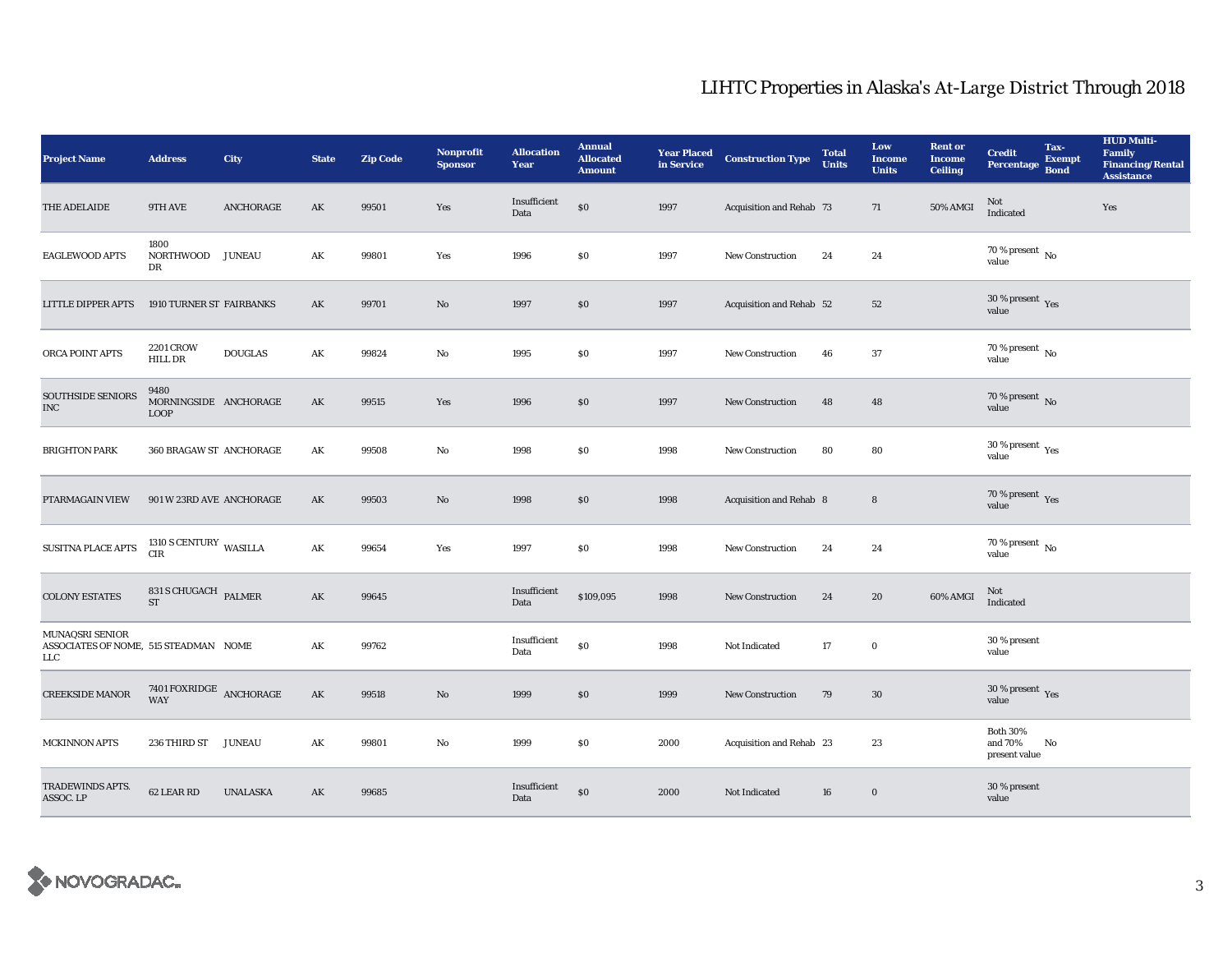| <b>Project Name</b>                                             | <b>Address</b>                                | City            | <b>State</b>           | <b>Zip Code</b> | Nonprofit<br><b>Sponsor</b> | <b>Allocation</b><br>Year | <b>Annual</b><br><b>Allocated</b><br><b>Amount</b> |      | <b>Year Placed Construction Type</b><br>in Service | <b>Total</b><br><b>Units</b> | Low<br><b>Income</b><br><b>Units</b> | <b>Rent or</b><br><b>Income</b><br><b>Ceiling</b> | <b>Credit</b><br><b>Percentage</b>          | Tax-<br><b>Exempt</b><br><b>Bond</b> | <b>HUD Multi-</b><br><b>Family</b><br><b>Financing/Rental</b><br><b>Assistance</b> |
|-----------------------------------------------------------------|-----------------------------------------------|-----------------|------------------------|-----------------|-----------------------------|---------------------------|----------------------------------------------------|------|----------------------------------------------------|------------------------------|--------------------------------------|---------------------------------------------------|---------------------------------------------|--------------------------------------|------------------------------------------------------------------------------------|
| THE ADELAIDE                                                    | 9TH AVE                                       | ANCHORAGE       | AK                     | 99501           | Yes                         | Insufficient<br>Data      | $\$0$                                              | 1997 | Acquisition and Rehab 73                           |                              | 71                                   | 50% AMGI                                          | Not<br>Indicated                            |                                      | Yes                                                                                |
| EAGLEWOOD APTS                                                  | 1800<br>NORTHWOOD JUNEAU<br>DR                |                 | $\mathbf{A}\mathbf{K}$ | 99801           | Yes                         | 1996                      | \$0                                                | 1997 | New Construction                                   | 24                           | 24                                   |                                                   | $70$ % present $\,$ No value                |                                      |                                                                                    |
| LITTLE DIPPER APTS                                              | 1910 TURNER ST FAIRBANKS                      |                 | AK                     | 99701           | No                          | 1997                      | \$0                                                | 1997 | Acquisition and Rehab 52                           |                              | 52                                   |                                                   | $30\,\%$ present $\,$ Yes value             |                                      |                                                                                    |
| ORCA POINT APTS                                                 | <b>2201 CROW</b><br>HILL DR                   | <b>DOUGLAS</b>  | $\mathbf{A}\mathbf{K}$ | 99824           | No                          | 1995                      | $\$0$                                              | 1997 | New Construction                                   | 46                           | 37                                   |                                                   | 70 % present $\,$ No $\,$<br>value          |                                      |                                                                                    |
| SOUTHSIDE SENIORS<br>$_{\mathrm{INC}}$                          | 9480<br>MORNINGSIDE ANCHORAGE<br><b>LOOP</b>  |                 | AK                     | 99515           | Yes                         | 1996                      | \$0\$                                              | 1997 | <b>New Construction</b>                            | 48                           | 48                                   |                                                   | 70 % present $\,$ No $\,$<br>value          |                                      |                                                                                    |
| <b>BRIGHTON PARK</b>                                            | 360 BRAGAW ST ANCHORAGE                       |                 | AK                     | 99508           | No                          | 1998                      | \$0                                                | 1998 | <b>New Construction</b>                            | 80                           | 80                                   |                                                   | $30\,\%$ present $\,$ Yes value             |                                      |                                                                                    |
| PTARMAGAIN VIEW                                                 | 901 W 23RD AVE ANCHORAGE                      |                 | AK                     | 99503           | No                          | 1998                      | \$0                                                | 1998 | Acquisition and Rehab 8                            |                              | 8                                    |                                                   | $70\,\%$ present $\,$ Yes value             |                                      |                                                                                    |
| SUSITNA PLACE APTS                                              | $1310$ S CENTURY WASILLA CIR                  |                 | AK                     | 99654           | Yes                         | 1997                      | \$0\$                                              | 1998 | <b>New Construction</b>                            | 24                           | 24                                   |                                                   | $70$ % present $\,$ No value                |                                      |                                                                                    |
| <b>COLONY ESTATES</b>                                           | $831$ S CHUGACH $\,$ PALMER<br><b>ST</b>      |                 | $\mathbf{AK}$          | 99645           |                             | Insufficient<br>Data      | \$109,095                                          | 1998 | <b>New Construction</b>                            | 24                           | 20                                   | 60% AMGI                                          | Not<br>Indicated                            |                                      |                                                                                    |
| MUNAQSRI SENIOR<br>ASSOCIATES OF NOME, 515 STEADMAN NOME<br>LLC |                                               |                 | $\mathbf{A}\mathbf{K}$ | 99762           |                             | Insufficient<br>Data      | \$0                                                | 1998 | Not Indicated                                      | $17\,$                       | $\boldsymbol{0}$                     |                                                   | 30 % present<br>value                       |                                      |                                                                                    |
| <b>CREEKSIDE MANOR</b>                                          | $7401 \, \mbox{FOXRIDGE} \quad$ ANCHORAGE WAY |                 | AK                     | 99518           | No                          | 1999                      | \$0                                                | 1999 | <b>New Construction</b>                            | 79                           | 30                                   |                                                   | 30 % present $\gamma_{\rm{es}}$<br>value    |                                      |                                                                                    |
| <b>MCKINNON APTS</b>                                            | 236 THIRD ST                                  | <b>JUNEAU</b>   | AK                     | 99801           | No                          | 1999                      | $\$0$                                              | 2000 | Acquisition and Rehab 23                           |                              | 23                                   |                                                   | <b>Both 30%</b><br>and 70%<br>present value | No                                   |                                                                                    |
| TRADEWINDS APTS.<br>ASSOC. LP                                   | 62 LEAR RD                                    | <b>UNALASKA</b> | AK                     | 99685           |                             | Insufficient<br>Data      | \$0                                                | 2000 | Not Indicated                                      | 16                           | $\bf{0}$                             |                                                   | 30 % present<br>value                       |                                      |                                                                                    |

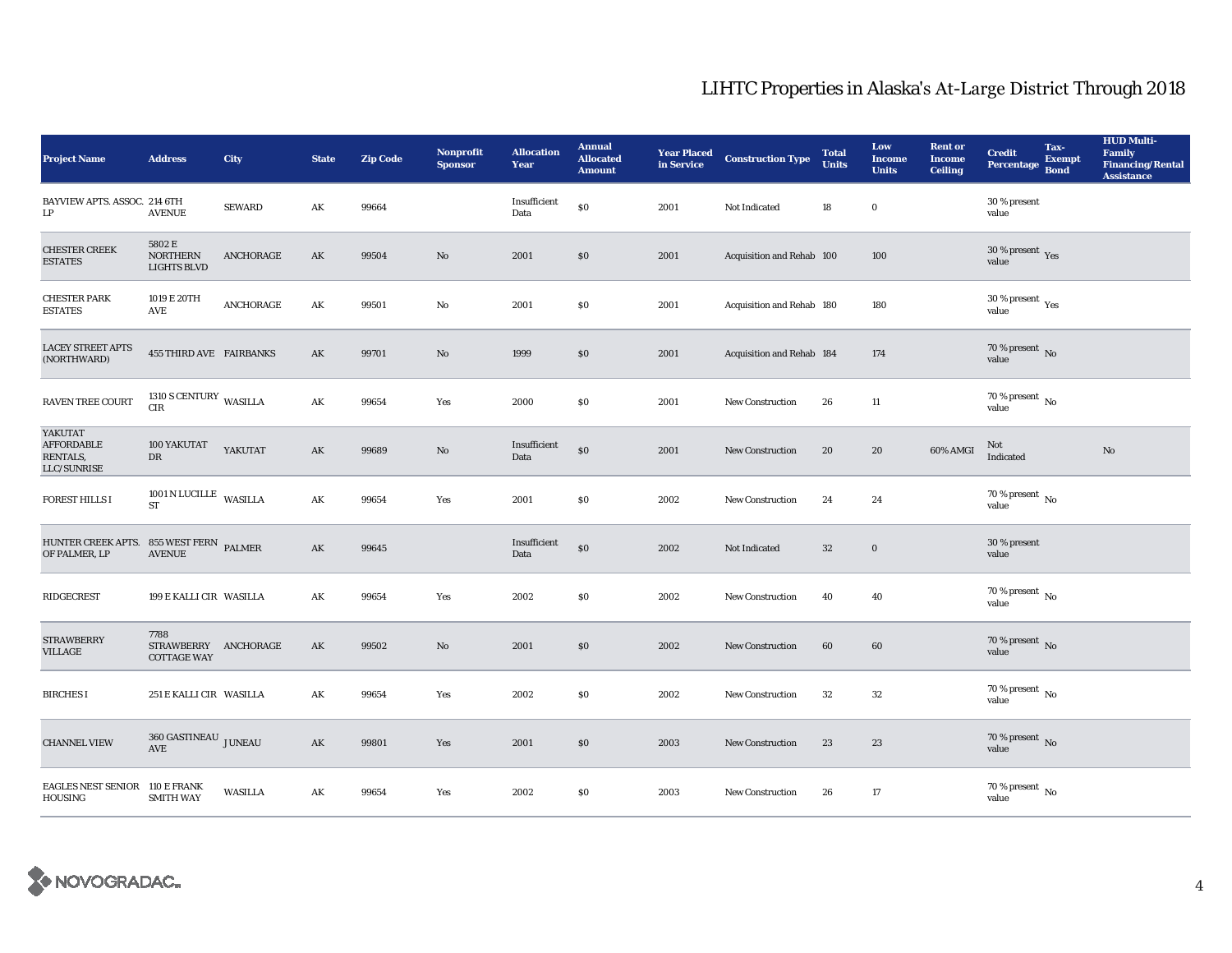| <b>Project Name</b>                                      | <b>Address</b>                                     | <b>City</b>    | <b>State</b>           | <b>Zip Code</b> | <b>Nonprofit</b><br><b>Sponsor</b> | <b>Allocation</b><br>Year | <b>Annual</b><br><b>Allocated</b><br><b>Amount</b> | <b>Year Placed<br/>in Service</b> | <b>Construction Type</b>  | <b>Total</b><br><b>Units</b> | Low<br><b>Income</b><br><b>Units</b> | <b>Rent or</b><br><b>Income</b><br><b>Ceiling</b> | <b>Credit</b><br><b>Percentage</b>   | Tax-<br><b>Exempt</b><br><b>Bond</b> | <b>HUD Multi-</b><br>Family<br><b>Financing/Rental</b><br><b>Assistance</b> |
|----------------------------------------------------------|----------------------------------------------------|----------------|------------------------|-----------------|------------------------------------|---------------------------|----------------------------------------------------|-----------------------------------|---------------------------|------------------------------|--------------------------------------|---------------------------------------------------|--------------------------------------|--------------------------------------|-----------------------------------------------------------------------------|
| BAYVIEW APTS. ASSOC. 214 6TH<br>LP                       | <b>AVENUE</b>                                      | <b>SEWARD</b>  | AK                     | 99664           |                                    | Insufficient<br>Data      | $\$0$                                              | 2001                              | Not Indicated             | 18                           | $\bf{0}$                             |                                                   | 30 % present<br>value                |                                      |                                                                             |
| <b>CHESTER CREEK</b><br><b>ESTATES</b>                   | 5802 E<br><b>NORTHERN</b><br><b>LIGHTS BLVD</b>    | ANCHORAGE      | $\mathbf{A}\mathbf{K}$ | 99504           | No                                 | 2001                      | \$0                                                | 2001                              | Acquisition and Rehab 100 |                              | 100                                  |                                                   | $30\,\%$ present $\,$ Yes value      |                                      |                                                                             |
| <b>CHESTER PARK</b><br><b>ESTATES</b>                    | 1019 E 20TH<br>AVE                                 | ANCHORAGE      | AK                     | 99501           | $\rm No$                           | 2001                      | \$0\$                                              | 2001                              | Acquisition and Rehab 180 |                              | 180                                  |                                                   | $30\,\%$ present $\,$ Yes value      |                                      |                                                                             |
| <b>LACEY STREET APTS</b><br>(NORTHWARD)                  | <b>455 THIRD AVE FAIRBANKS</b>                     |                | AK                     | 99701           | No                                 | 1999                      | \$0                                                | 2001                              | Acquisition and Rehab 184 |                              | 174                                  |                                                   | 70 % present $\,$ No $\,$<br>value   |                                      |                                                                             |
| <b>RAVEN TREE COURT</b>                                  | 1310 S CENTURY WASILLA<br>$\rm CIR$                |                | $\mathbf{AK}$          | 99654           | Yes                                | 2000                      | $\$0$                                              | 2001                              | New Construction          | 26                           | $11\,$                               |                                                   | 70 % present $\,$ No $\,$<br>value   |                                      |                                                                             |
| YAKUTAT<br><b>AFFORDABLE</b><br>RENTALS,<br>LLC/SUNRISE  | 100 YAKUTAT<br>DR                                  | YAKUTAT        | AK                     | 99689           | No                                 | Insufficient<br>Data      | \$0                                                | 2001                              | <b>New Construction</b>   | 20                           | 20                                   | 60% AMGI                                          | Not<br>Indicated                     |                                      | No                                                                          |
| <b>FOREST HILLS I</b>                                    | 1001 N LUCILLE WASILLA<br><b>ST</b>                |                | AK                     | 99654           | Yes                                | 2001                      | \$0                                                | 2002                              | New Construction          | 24                           | 24                                   |                                                   | 70 % present $\,$ No $\,$<br>value   |                                      |                                                                             |
| HUNTER CREEK APTS. 855 WEST FERN PALMER<br>OF PALMER, LP | <b>AVENUE</b>                                      |                | $\mathbf{AK}$          | 99645           |                                    | Insufficient<br>Data      | \$0                                                | 2002                              | Not Indicated             | $32\,$                       | $\boldsymbol{0}$                     |                                                   | 30 % present<br>value                |                                      |                                                                             |
| <b>RIDGECREST</b>                                        | 199 E KALLI CIR WASILLA                            |                | AK                     | 99654           | Yes                                | 2002                      | \$0                                                | 2002                              | <b>New Construction</b>   | 40                           | 40                                   |                                                   | $70$ % present $\,$ No $\,$<br>value |                                      |                                                                             |
| <b>STRAWBERRY</b><br><b>VILLAGE</b>                      | 7788<br>STRAWBERRY ANCHORAGE<br><b>COTTAGE WAY</b> |                | $\mathbf{A}\mathbf{K}$ | 99502           | $\mathbf{N}\mathbf{o}$             | 2001                      | \$0                                                | 2002                              | <b>New Construction</b>   | 60                           | 60                                   |                                                   | $70\,\%$ present $\,$ No value       |                                      |                                                                             |
| <b>BIRCHES I</b>                                         | 251 E KALLI CIR WASILLA                            |                | AK                     | 99654           | Yes                                | 2002                      | \$0\$                                              | 2002                              | <b>New Construction</b>   | 32                           | 32                                   |                                                   | 70 % present $\,$ No $\,$<br>value   |                                      |                                                                             |
| <b>CHANNEL VIEW</b>                                      | 360 GASTINEAU JUNEAU<br>AVE                        |                | AK                     | 99801           | Yes                                | 2001                      | \$0                                                | 2003                              | New Construction          | 23                           | 23                                   |                                                   | 70 % present $\,$ No $\,$<br>value   |                                      |                                                                             |
| EAGLES NEST SENIOR 110 E FRANK<br>HOUSING                | <b>SMITH WAY</b>                                   | <b>WASILLA</b> | AK                     | 99654           | Yes                                | 2002                      | \$0                                                | 2003                              | <b>New Construction</b>   | 26                           | 17                                   |                                                   | $70\,\%$ present $\,$ No value       |                                      |                                                                             |

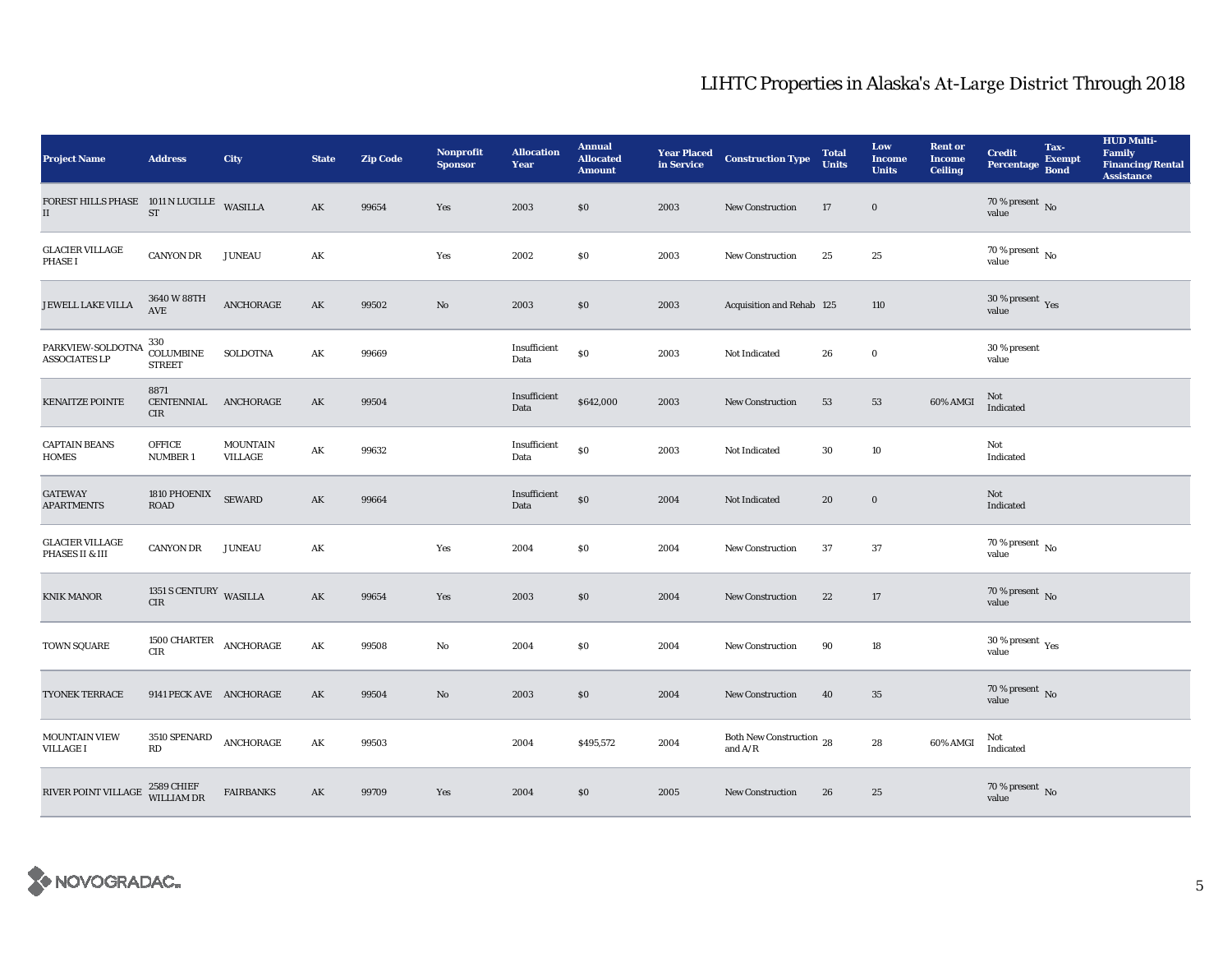| <b>Project Name</b>                                   | <b>Address</b>                             | <b>City</b>                | <b>State</b>           | <b>Zip Code</b> | <b>Nonprofit</b><br><b>Sponsor</b> | <b>Allocation</b><br>Year | <b>Annual</b><br><b>Allocated</b><br><b>Amount</b> |      | <b>Year Placed Construction Type</b><br>in Service | <b>Total</b><br><b>Units</b> | Low<br><b>Income</b><br><b>Units</b> | <b>Rent or</b><br><b>Income</b><br><b>Ceiling</b> | <b>Credit</b><br>Percentage        | Tax-<br><b>Exempt</b><br><b>Bond</b> | <b>HUD Multi-</b><br>Family<br><b>Financing/Rental</b><br><b>Assistance</b> |
|-------------------------------------------------------|--------------------------------------------|----------------------------|------------------------|-----------------|------------------------------------|---------------------------|----------------------------------------------------|------|----------------------------------------------------|------------------------------|--------------------------------------|---------------------------------------------------|------------------------------------|--------------------------------------|-----------------------------------------------------------------------------|
| FOREST HILLS PHASE 1011 N LUCILLE WASILLA<br>$\rm II$ | $\operatorname{ST}$                        |                            | ${\bf A}{\bf K}$       | 99654           | Yes                                | 2003                      | \$0                                                | 2003 | New Construction                                   | 17                           | $\mathbf 0$                          |                                                   | 70 % present $\,$ No $\,$<br>value |                                      |                                                                             |
| <b>GLACIER VILLAGE</b><br><b>PHASE I</b>              | <b>CANYON DR</b>                           | <b>JUNEAU</b>              | AK                     |                 | Yes                                | 2002                      | \$0                                                | 2003 | New Construction                                   | 25                           | 25                                   |                                                   | $70$ % present $\,$ No value       |                                      |                                                                             |
| JEWELL LAKE VILLA                                     | 3640 W 88TH<br>AVE                         | ANCHORAGE                  | AK                     | 99502           | $\mathbf{N}\mathbf{o}$             | 2003                      | \$0\$                                              | 2003 | Acquisition and Rehab 125                          |                              | 110                                  |                                                   | $30\,\%$ present $\,$ Yes value    |                                      |                                                                             |
| PARKVIEW-SOLDOTNA<br><b>ASSOCIATES LP</b>             | 330<br>COLUMBINE<br><b>STREET</b>          | SOLDOTNA                   | AK                     | 99669           |                                    | Insufficient<br>Data      | ${\bf S0}$                                         | 2003 | Not Indicated                                      | 26                           | $\bf{0}$                             |                                                   | 30 % present<br>value              |                                      |                                                                             |
| <b>KENAITZE POINTE</b>                                | 8871<br>CENTENNIAL ANCHORAGE<br><b>CIR</b> |                            | AK                     | 99504           |                                    | Insufficient<br>Data      | \$642,000                                          | 2003 | <b>New Construction</b>                            | 53                           | 53                                   | 60% AMGI                                          | Not<br>Indicated                   |                                      |                                                                             |
| <b>CAPTAIN BEANS</b><br><b>HOMES</b>                  | <b>OFFICE</b><br><b>NUMBER 1</b>           | <b>MOUNTAIN</b><br>VILLAGE | $\mathbf{A}\mathbf{K}$ | 99632           |                                    | Insufficient<br>Data      | \$0                                                | 2003 | Not Indicated                                      | $30\,$                       | $10\,$                               |                                                   | Not<br>Indicated                   |                                      |                                                                             |
| <b>GATEWAY</b><br><b>APARTMENTS</b>                   | 1810 PHOENIX<br><b>ROAD</b>                | <b>SEWARD</b>              | $\mathbf{AK}$          | 99664           |                                    | Insufficient<br>Data      | $\$0$                                              | 2004 | Not Indicated                                      | 20                           | $\mathbf 0$                          |                                                   | Not<br>Indicated                   |                                      |                                                                             |
| <b>GLACIER VILLAGE</b><br>PHASES II & III             | <b>CANYON DR</b>                           | <b>JUNEAU</b>              | AK                     |                 | Yes                                | 2004                      | \$0                                                | 2004 | New Construction                                   | 37                           | 37                                   |                                                   | 70 % present $\,$ No $\,$<br>value |                                      |                                                                             |
| <b>KNIK MANOR</b>                                     | 1351 S CENTURY WASILLA<br>CIR              |                            | ${\bf A}{\bf K}$       | 99654           | Yes                                | 2003                      | $\$0$                                              | 2004 | New Construction                                   | 22                           | $17\,$                               |                                                   | $70$ % present $\,$ No value       |                                      |                                                                             |
| TOWN SQUARE                                           | 1500 CHARTER<br>CIR                        | ANCHORAGE                  | AK                     | 99508           | No                                 | 2004                      | \$0                                                | 2004 | New Construction                                   | 90                           | 18                                   |                                                   | $30\,\%$ present $\,$ Yes value    |                                      |                                                                             |
| <b>TYONEK TERRACE</b>                                 | 9141 PECK AVE ANCHORAGE                    |                            | AK                     | 99504           | No                                 | 2003                      | \$0                                                | 2004 | <b>New Construction</b>                            | 40                           | 35                                   |                                                   | $70\,\%$ present $\,$ No value     |                                      |                                                                             |
| <b>MOUNTAIN VIEW</b><br><b>VILLAGE I</b>              | 3510 SPENARD<br>RD                         | ANCHORAGE                  | AK                     | 99503           |                                    | 2004                      | \$495,572                                          | 2004 | Both New Construction $\,$ 28 $\,$<br>and $A/R$    |                              | $\bf 28$                             | 60% AMGI                                          | Not<br>Indicated                   |                                      |                                                                             |
| RIVER POINT VILLAGE                                   | 2589 CHIEF<br>WILLIAM DR                   | <b>FAIRBANKS</b>           | AK                     | 99709           | Yes                                | 2004                      | \$0                                                | 2005 | <b>New Construction</b>                            | 26                           | 25                                   |                                                   | $70\,\%$ present $\,$ No value     |                                      |                                                                             |

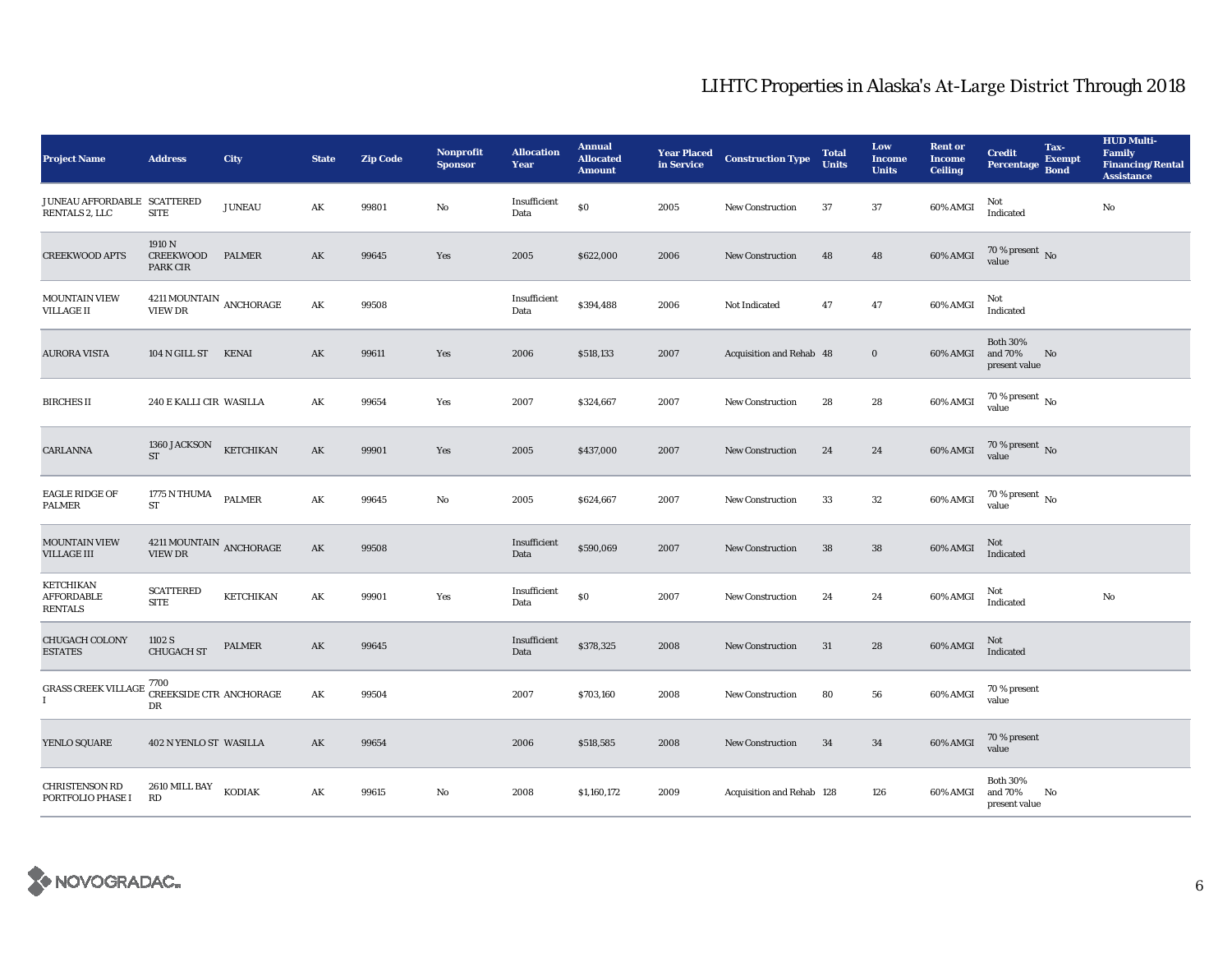| <b>Project Name</b>                                     | <b>Address</b>                              | <b>City</b>   | <b>State</b>  | <b>Zip Code</b> | <b>Nonprofit</b><br><b>Sponsor</b> | <b>Allocation</b><br>Year | <b>Annual</b><br><b>Allocated</b><br><b>Amount</b> |      | <b>Year Placed Construction Type</b><br>in Service | <b>Total</b><br><b>Units</b> | Low<br><b>Income</b><br><b>Units</b> | <b>Rent</b> or<br><b>Income</b><br><b>Ceiling</b> | <b>Credit</b><br>Percentage                 | Tax-<br><b>Exempt</b><br><b>Bond</b> | <b>HUD Multi-</b><br><b>Family</b><br><b>Financing/Rental</b><br><b>Assistance</b> |
|---------------------------------------------------------|---------------------------------------------|---------------|---------------|-----------------|------------------------------------|---------------------------|----------------------------------------------------|------|----------------------------------------------------|------------------------------|--------------------------------------|---------------------------------------------------|---------------------------------------------|--------------------------------------|------------------------------------------------------------------------------------|
| JUNEAU AFFORDABLE SCATTERED<br>RENTALS 2, LLC           | <b>SITE</b>                                 | <b>JUNEAU</b> | AK            | 99801           | No                                 | Insufficient<br>Data      | $\$0$                                              | 2005 | New Construction                                   | 37                           | $\bf 37$                             | 60% AMGI                                          | Not<br>Indicated                            |                                      | $\rm No$                                                                           |
| <b>CREEKWOOD APTS</b>                                   | 1910 N<br><b>CREEKWOOD</b><br>PARK CIR      | <b>PALMER</b> | AK            | 99645           | Yes                                | 2005                      | \$622,000                                          | 2006 | New Construction                                   | 48                           | 48                                   | 60% AMGI                                          | $70$ % present $\,$ No value                |                                      |                                                                                    |
| <b>MOUNTAIN VIEW</b><br><b>VILLAGE II</b>               | $4211\,\mathrm{MOUNTAIN}$ ANCHORAGE VIEW DR |               | AK            | 99508           |                                    | Insufficient<br>Data      | \$394,488                                          | 2006 | Not Indicated                                      | 47                           | 47                                   | 60% AMGI                                          | Not<br>Indicated                            |                                      |                                                                                    |
| <b>AURORA VISTA</b>                                     | 104 N GILL ST                               | KENAI         | AK            | 99611           | Yes                                | 2006                      | \$518,133                                          | 2007 | Acquisition and Rehab 48                           |                              | $\mathbf 0$                          | 60% AMGI                                          | <b>Both 30%</b><br>and 70%<br>present value | No                                   |                                                                                    |
| <b>BIRCHES II</b>                                       | 240 E KALLI CIR WASILLA                     |               | AK            | 99654           | Yes                                | 2007                      | \$324,667                                          | 2007 | New Construction                                   | 28                           | 28                                   | 60% AMGI                                          | 70 % present $\,$ No $\,$<br>value          |                                      |                                                                                    |
| CARLANNA                                                | 1360 JACKSON<br><b>ST</b>                   | KETCHIKAN     | AK            | 99901           | Yes                                | 2005                      | \$437,000                                          | 2007 | <b>New Construction</b>                            | 24                           | 24                                   | 60% AMGI                                          | $70$ % present $\,$ No value                |                                      |                                                                                    |
| <b>EAGLE RIDGE OF</b><br><b>PALMER</b>                  | 1775 N THUMA<br>${\rm ST}$                  | <b>PALMER</b> | AK            | 99645           | No                                 | 2005                      | \$624,667                                          | 2007 | <b>New Construction</b>                            | 33                           | 32                                   | 60% AMGI                                          | 70 % present $\,$ No $\,$<br>value          |                                      |                                                                                    |
| <b>MOUNTAIN VIEW</b><br><b>VILLAGE III</b>              | 4211 MOUNTAIN ANCHORAGE<br>VIEW DR          |               | AK            | 99508           |                                    | Insufficient<br>Data      | \$590,069                                          | 2007 | New Construction                                   | 38                           | ${\bf 38}$                           | 60% AMGI                                          | Not<br>Indicated                            |                                      |                                                                                    |
| <b>KETCHIKAN</b><br><b>AFFORDABLE</b><br><b>RENTALS</b> | <b>SCATTERED</b><br><b>SITE</b>             | KETCHIKAN     | AK            | 99901           | Yes                                | Insufficient<br>Data      | $\$0$                                              | 2007 | New Construction                                   | 24                           | 24                                   | 60% AMGI                                          | Not<br>Indicated                            |                                      | $\mathbf{No}$                                                                      |
| <b>CHUGACH COLONY</b><br><b>ESTATES</b>                 | 1102 S<br><b>CHUGACH ST</b>                 | <b>PALMER</b> | AK            | 99645           |                                    | Insufficient<br>Data      | \$378,325                                          | 2008 | <b>New Construction</b>                            | 31                           | 28                                   | 60% AMGI                                          | <b>Not</b><br>Indicated                     |                                      |                                                                                    |
| GRASS CREEK VILLAGE 7700<br>1                           | CREEKSIDE CTR ANCHORAGE<br>DR               |               | $\mathbf{AK}$ | 99504           |                                    | 2007                      | \$703,160                                          | 2008 | New Construction                                   | 80                           | 56                                   | 60% AMGI                                          | 70 % present<br>value                       |                                      |                                                                                    |
| YENLO SQUARE                                            | 402 N YENLO ST WASILLA                      |               | AK            | 99654           |                                    | 2006                      | \$518,585                                          | 2008 | New Construction                                   | 34                           | 34                                   | 60% AMGI                                          | 70 % present<br>value                       |                                      |                                                                                    |
| <b>CHRISTENSON RD</b><br>PORTFOLIO PHASE I              | 2610 MILL BAY<br>RD                         | <b>KODIAK</b> | AK            | 99615           | No                                 | 2008                      | \$1,160,172                                        | 2009 | Acquisition and Rehab 128                          |                              | 126                                  | 60% AMGI                                          | <b>Both 30%</b><br>and 70%<br>present value | No                                   |                                                                                    |

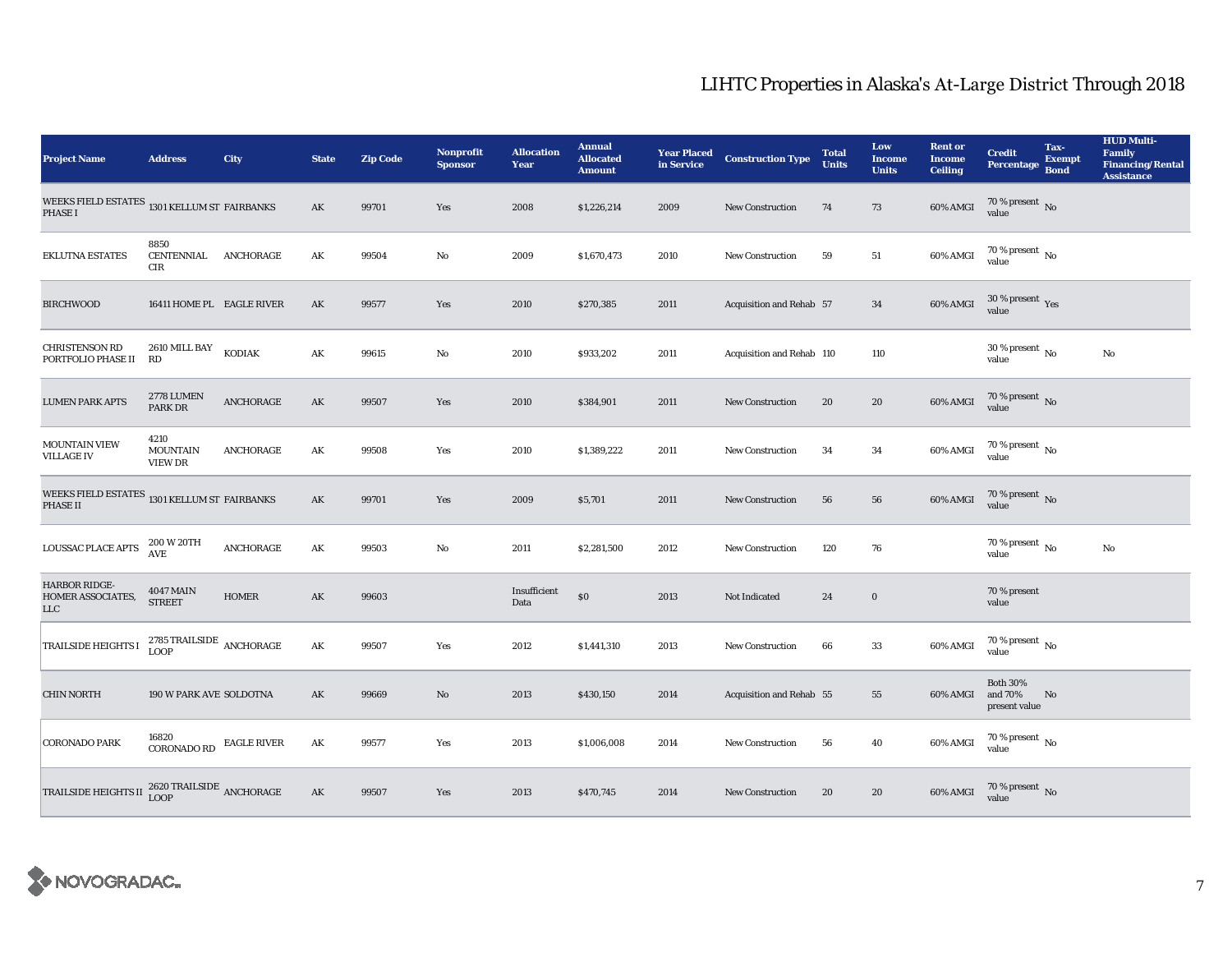| <b>Project Name</b>                                             | <b>Address</b>                               | City               | <b>State</b> | <b>Zip Code</b> | <b>Nonprofit</b><br><b>Sponsor</b> | <b>Allocation</b><br>Year | <b>Annual</b><br><b>Allocated</b><br><b>Amount</b> | <b>Year Placed<br/>in Service</b> | <b>Construction Type</b>  | <b>Total</b><br><b>Units</b> | Low<br><b>Income</b><br><b>Units</b> | <b>Rent or</b><br><b>Income</b><br><b>Ceiling</b> | <b>Credit</b><br><b>Percentage</b>          | Tax-<br><b>Exempt</b><br><b>Bond</b> | <b>HUD Multi-</b><br><b>Family</b><br><b>Financing/Rental</b><br><b>Assistance</b> |
|-----------------------------------------------------------------|----------------------------------------------|--------------------|--------------|-----------------|------------------------------------|---------------------------|----------------------------------------------------|-----------------------------------|---------------------------|------------------------------|--------------------------------------|---------------------------------------------------|---------------------------------------------|--------------------------------------|------------------------------------------------------------------------------------|
| WEEKS FIELD ESTATES 1301 KELLUM ST FAIRBANKS<br><b>PHASE I</b>  |                                              |                    | AK           | 99701           | Yes                                | 2008                      | \$1,226,214                                        | 2009                              | New Construction          | 74                           | 73                                   | 60% AMGI                                          | 70 % present $\,$ No $\,$<br>value          |                                      |                                                                                    |
| <b>EKLUTNA ESTATES</b>                                          | 8850<br>CENTENNIAL<br>CIR                    | ANCHORAGE          | AK           | 99504           | No                                 | 2009                      | \$1,670,473                                        | 2010                              | <b>New Construction</b>   | 59                           | 51                                   | 60% AMGI                                          | $70$ % present $\,$ No value                |                                      |                                                                                    |
| <b>BIRCHWOOD</b>                                                | 16411 HOME PL EAGLE RIVER                    |                    | AK           | 99577           | Yes                                | 2010                      | \$270,385                                          | 2011                              | Acquisition and Rehab 57  |                              | 34                                   | 60% AMGI                                          | $30\,\%$ present $\,$ Yes value             |                                      |                                                                                    |
| <b>CHRISTENSON RD</b><br>PORTFOLIO PHASE II                     | 2610 MILL BAY<br>RD                          | KODIAK             | AK           | 99615           | No                                 | 2010                      | \$933,202                                          | 2011                              | Acquisition and Rehab 110 |                              | 110                                  |                                                   | $30$ % present $\,$ No $\,$<br>value        |                                      | No                                                                                 |
| <b>LUMEN PARK APTS</b>                                          | 2778 LUMEN<br>PARK DR                        | ANCHORAGE          | AK           | 99507           | Yes                                | 2010                      | \$384,901                                          | 2011                              | <b>New Construction</b>   | 20                           | 20                                   | 60% AMGI                                          | $70$ % present $\,$ No value                |                                      |                                                                                    |
| <b>MOUNTAIN VIEW</b><br><b>VILLAGE IV</b>                       | 4210<br><b>MOUNTAIN</b><br><b>VIEW DR</b>    | ANCHORAGE          | AK           | 99508           | Yes                                | 2010                      | \$1,389,222                                        | 2011                              | <b>New Construction</b>   | 34                           | 34                                   | 60% AMGI                                          | $70$ % present $\,$ No value                |                                      |                                                                                    |
| WEEKS FIELD ESTATES 1301 KELLUM ST FAIRBANKS<br><b>PHASE II</b> |                                              |                    | AK           | 99701           | Yes                                | 2009                      | \$5,701                                            | 2011                              | <b>New Construction</b>   | 56                           | 56                                   | 60% AMGI                                          | $70\,\%$ present $\,$ No value              |                                      |                                                                                    |
| <b>LOUSSAC PLACE APTS</b>                                       | 200 W 20TH<br>AVE                            | ANCHORAGE          | AK           | 99503           | No                                 | 2011                      | \$2,281,500                                        | 2012                              | <b>New Construction</b>   | 120                          | 76                                   |                                                   | 70 % present $\,$ No $\,$<br>value          |                                      | No                                                                                 |
| <b>HARBOR RIDGE-</b><br>HOMER ASSOCIATES,<br>$_{\rm LLC}$       | <b>4047 MAIN</b><br><b>STREET</b>            | <b>HOMER</b>       | AK           | 99603           |                                    | Insufficient<br>Data      | \$0                                                | 2013                              | Not Indicated             | 24                           | $\mathbf 0$                          |                                                   | 70 % present<br>value                       |                                      |                                                                                    |
| <b>TRAILSIDE HEIGHTS I</b>                                      | 2785 TRAILSIDE $\,$ ANCHORAGE<br><b>LOOP</b> |                    | AK           | 99507           | Yes                                | 2012                      | \$1,441,310                                        | 2013                              | <b>New Construction</b>   | 66                           | 33                                   | 60% AMGI                                          | $70$ % present $\,$ No value                |                                      |                                                                                    |
| <b>CHIN NORTH</b>                                               | 190 W PARK AVE SOLDOTNA                      |                    | AK           | 99669           | No                                 | 2013                      | \$430,150                                          | 2014                              | Acquisition and Rehab 55  |                              | 55                                   | 60% AMGI                                          | <b>Both 30%</b><br>and 70%<br>present value | No                                   |                                                                                    |
| <b>CORONADO PARK</b>                                            | 16820<br><b>CORONADO RD</b>                  | <b>EAGLE RIVER</b> | AK           | 99577           | Yes                                | 2013                      | \$1,006,008                                        | 2014                              | <b>New Construction</b>   | 56                           | 40                                   | 60% AMGI                                          | $70$ % present $\,$ No value                |                                      |                                                                                    |
| <b>TRAILSIDE HEIGHTS II</b>                                     | $2620\,\mbox{TRAILSIDE}$ ANCHORAGE LOOP      |                    | AK           | 99507           | Yes                                | 2013                      | \$470,745                                          | 2014                              | <b>New Construction</b>   | 20                           | 20                                   | 60% AMGI                                          | $70$ % present $\,$ No value                |                                      |                                                                                    |